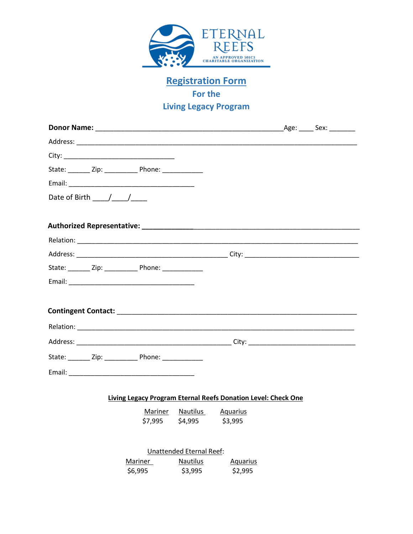

**Registration Form For the Living Legacy Program**

|                                                | State: ________ Zip: _______________ Phone: _______________                                                   |                                                    |                                                               |  |
|------------------------------------------------|---------------------------------------------------------------------------------------------------------------|----------------------------------------------------|---------------------------------------------------------------|--|
|                                                |                                                                                                               |                                                    |                                                               |  |
| Date of Birth $\frac{1}{\sqrt{1-\frac{1}{2}}}$ |                                                                                                               |                                                    |                                                               |  |
|                                                |                                                                                                               |                                                    |                                                               |  |
|                                                |                                                                                                               |                                                    |                                                               |  |
|                                                |                                                                                                               |                                                    |                                                               |  |
|                                                |                                                                                                               |                                                    |                                                               |  |
|                                                | State: _________ Zip: ____________________ Phone: ______________________________                              |                                                    |                                                               |  |
|                                                |                                                                                                               |                                                    |                                                               |  |
|                                                |                                                                                                               |                                                    |                                                               |  |
|                                                |                                                                                                               |                                                    |                                                               |  |
|                                                |                                                                                                               |                                                    |                                                               |  |
|                                                | State: _________ Zip: ________________ Phone: ________________                                                |                                                    |                                                               |  |
|                                                | Email: 2008 2009 2010 2021 2022 2023 2024 2022 2022 2023 2024 2022 2023 2024 2022 2023 2024 2022 2023 2024 20 |                                                    |                                                               |  |
|                                                |                                                                                                               |                                                    |                                                               |  |
|                                                |                                                                                                               |                                                    | Living Legacy Program Eternal Reefs Donation Level: Check One |  |
|                                                | \$7,995                                                                                                       | Mariner Nautilus Aquarius<br>\$4,995               | \$3,995                                                       |  |
|                                                |                                                                                                               |                                                    |                                                               |  |
|                                                | Mariner                                                                                                       | <b>Unattended Eternal Reef:</b><br><b>Nautilus</b> | <b>Aquarius</b>                                               |  |